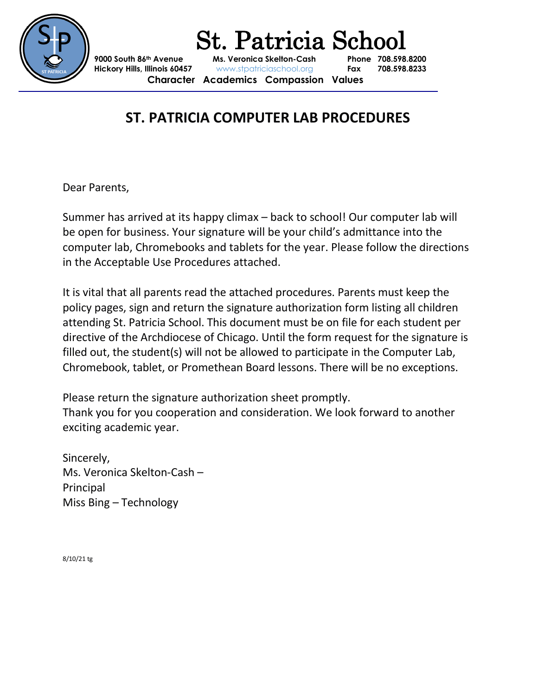

 St. Patricia School **9000 South 86th Avenue Ms. Veronica Skelton-Cash Phone 708.598.8200 Hickory Hills, Illinois 60457** www.stpatriciaschool.org **Fax 708.598.8233 Character Academics Compassion Values**

# **ST. PATRICIA COMPUTER LAB PROCEDURES**

Dear Parents,

Summer has arrived at its happy climax – back to school! Our computer lab will be open for business. Your signature will be your child's admittance into the computer lab, Chromebooks and tablets for the year. Please follow the directions in the Acceptable Use Procedures attached.

It is vital that all parents read the attached procedures. Parents must keep the policy pages, sign and return the signature authorization form listing all children attending St. Patricia School. This document must be on file for each student per directive of the Archdiocese of Chicago. Until the form request for the signature is filled out, the student(s) will not be allowed to participate in the Computer Lab, Chromebook, tablet, or Promethean Board lessons. There will be no exceptions.

Please return the signature authorization sheet promptly. Thank you for you cooperation and consideration. We look forward to another exciting academic year.

Sincerely, Ms. Veronica Skelton-Cash – Principal Miss Bing – Technology

8/10/21 tg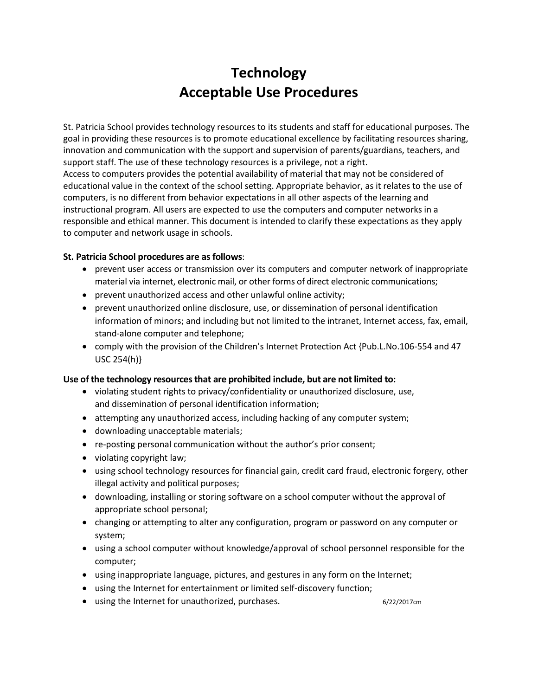## **Technology Acceptable Use Procedures**

St. Patricia School provides technology resources to its students and staff for educational purposes. The goal in providing these resources is to promote educational excellence by facilitating resources sharing, innovation and communication with the support and supervision of parents/guardians, teachers, and support staff. The use of these technology resources is a privilege, not a right. Access to computers provides the potential availability of material that may not be considered of educational value in the context of the school setting. Appropriate behavior, as it relates to the use of computers, is no different from behavior expectations in all other aspects of the learning and instructional program. All users are expected to use the computers and computer networks in a responsible and ethical manner. This document is intended to clarify these expectations as they apply to computer and network usage in schools.

### **St. Patricia School procedures are as follows**:

- prevent user access or transmission over its computers and computer network of inappropriate material via internet, electronic mail, or other forms of direct electronic communications;
- prevent unauthorized access and other unlawful online activity;
- prevent unauthorized online disclosure, use, or dissemination of personal identification information of minors; and including but not limited to the intranet, Internet access, fax, email, stand-alone computer and telephone;
- comply with the provision of the Children's Internet Protection Act {Pub.L.No.106-554 and 47 USC 254(h)}

#### **Use of the technology resources that are prohibited include, but are not limited to:**

- violating student rights to privacy/confidentiality or unauthorized disclosure, use, and dissemination of personal identification information;
- attempting any unauthorized access, including hacking of any computer system;
- downloading unacceptable materials;
- re-posting personal communication without the author's prior consent;
- violating copyright law;
- using school technology resources for financial gain, credit card fraud, electronic forgery, other illegal activity and political purposes;
- downloading, installing or storing software on a school computer without the approval of appropriate school personal;
- changing or attempting to alter any configuration, program or password on any computer or system;
- using a school computer without knowledge/approval of school personnel responsible for the computer;
- using inappropriate language, pictures, and gestures in any form on the Internet;
- using the Internet for entertainment or limited self-discovery function;
- using the Internet for unauthorized, purchases.  $6/22/2017$ cm